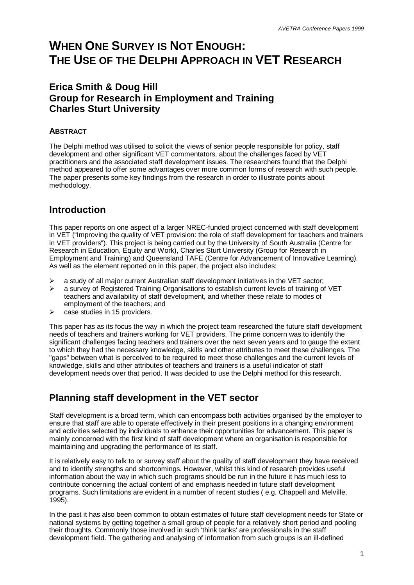# **WHEN ONE SURVEY IS NOT ENOUGH: THE USE OF THE DELPHI APPROACH IN VET RESEARCH**

# **Erica Smith & Doug Hill Group for Research in Employment and Training Charles Sturt University**

## **ABSTRACT**

The Delphi method was utilised to solicit the views of senior people responsible for policy, staff development and other significant VET commentators, about the challenges faced by VET practitioners and the associated staff development issues. The researchers found that the Delphi method appeared to offer some advantages over more common forms of research with such people. The paper presents some key findings from the research in order to illustrate points about methodology.

# **Introduction**

This paper reports on one aspect of a larger NREC-funded project concerned with staff development in VET ("Improving the quality of VET provision: the role of staff development for teachers and trainers in VET providers"). This project is being carried out by the University of South Australia (Centre for Research in Education, Equity and Work), Charles Sturt University (Group for Research in Employment and Training) and Queensland TAFE (Centre for Advancement of Innovative Learning). As well as the element reported on in this paper, the project also includes:

- a study of all major current Australian staff development initiatives in the VET sector;
- $\triangleright$  a survey of Registered Training Organisations to establish current levels of training of VET teachers and availability of staff development, and whether these relate to modes of employment of the teachers; and
- $\triangleright$  case studies in 15 providers.

This paper has as its focus the way in which the project team researched the future staff development needs of teachers and trainers working for VET providers. The prime concern was to identify the significant challenges facing teachers and trainers over the next seven years and to gauge the extent to which they had the necessary knowledge, skills and other attributes to meet these challenges. The "gaps" between what is perceived to be required to meet those challenges and the current levels of knowledge, skills and other attributes of teachers and trainers is a useful indicator of staff development needs over that period. It was decided to use the Delphi method for this research.

# **Planning staff development in the VET sector**

Staff development is a broad term, which can encompass both activities organised by the employer to ensure that staff are able to operate effectively in their present positions in a changing environment and activities selected by individuals to enhance their opportunities for advancement. This paper is mainly concerned with the first kind of staff development where an organisation is responsible for maintaining and upgrading the performance of its staff.

It is relatively easy to talk to or survey staff about the quality of staff development they have received and to identify strengths and shortcomings. However, whilst this kind of research provides useful information about the way in which such programs should be run in the future it has much less to contribute concerning the actual content of and emphasis needed in future staff development programs. Such limitations are evident in a number of recent studies ( e.g. Chappell and Melville,  $1995$ ).

In the past it has also been common to obtain estimates of future staff development needs for State or national systems by getting together a small group of people for a relatively short period and pooling their thoughts. Commonly those involved in such 'think tanks' are professionals in the staff development field. The gathering and analysing of information from such groups is an ill-defined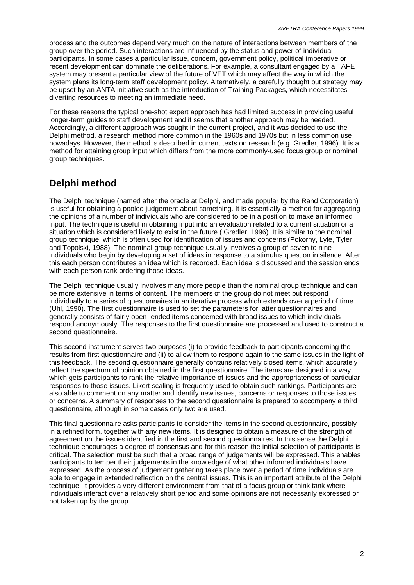process and the outcomes depend very much on the nature of interactions between members of the group over the period. Such interactions are influenced by the status and power of individual participants. In some cases a particular issue, concern, government policy, political imperative or recent development can dominate the deliberations. For example, a consultant engaged by a TAFE system may present a particular view of the future of VET which may affect the way in which the system plans its long-term staff development policy. Alternatively, a carefully thought out strategy may be upset by an ANTA initiative such as the introduction of Training Packages, which necessitates diverting resources to meeting an immediate need.

For these reasons the typical one-shot expert approach has had limited success in providing useful longer-term guides to staff development and it seems that another approach may be needed. Accordingly, a different approach was sought in the current project, and it was decided to use the Delphi method, a research method more common in the 1960s and 1970s but in less common use nowadays. However, the method is described in current texts on research (e.g. Gredler, 1996). It is a method for attaining group input which differs from the more commonly-used focus group or nominal group techniques.

# **Delphi method**

The Delphi technique (named after the oracle at Delphi, and made popular by the Rand Corporation) is useful for obtaining a pooled judgement about something. It is essentially a method for aggregating the opinions of a number of individuals who are considered to be in a position to make an informed input. The technique is useful in obtaining input into an evaluation related to a current situation or a situation which is considered likely to exist in the future ( Gredler, 1996). It is similar to the nominal group technique, which is often used for identification of issues and concerns (Pokorny, Lyle, Tyler and Topolski, 1988). The nominal group technique usually involves a group of seven to nine individuals who begin by developing a set of ideas in response to a stimulus question in silence. After this each person contributes an idea which is recorded. Each idea is discussed and the session ends with each person rank ordering those ideas.

The Delphi technique usually involves many more people than the nominal group technique and can be more extensive in terms of content. The members of the group do not meet but respond individually to a series of questionnaires in an iterative process which extends over a period of time (Uhl, 1990). The first questionnaire is used to set the parameters for latter questionnaires and generally consists of fairly open- ended items concerned with broad issues to which individuals respond anonymously. The responses to the first questionnaire are processed and used to construct a second questionnaire.

This second instrument serves two purposes (i) to provide feedback to participants concerning the results from first questionnaire and (ii) to allow them to respond again to the same issues in the light of this feedback. The second questionnaire generally contains relatively closed items, which accurately reflect the spectrum of opinion obtained in the first questionnaire. The items are designed in a way which gets participants to rank the relative importance of issues and the appropriateness of particular responses to those issues. Likert scaling is frequently used to obtain such rankings. Participants are also able to comment on any matter and identify new issues, concerns or responses to those issues or concerns. A summary of responses to the second questionnaire is prepared to accompany a third questionnaire, although in some cases only two are used.

This final questionnaire asks participants to consider the items in the second questionnaire, possibly in a refined form, together with any new items. It is designed to obtain a measure of the strength of agreement on the issues identified in the first and second questionnaires. In this sense the Delphi technique encourages a degree of consensus and for this reason the initial selection of participants is critical. The selection must be such that a broad range of judgements will be expressed. This enables participants to temper their judgements in the knowledge of what other informed individuals have expressed. As the process of judgement gathering takes place over a period of time individuals are able to engage in extended reflection on the central issues. This is an important attribute of the Delphi technique. It provides a very different environment from that of a focus group or think tank where individuals interact over a relatively short period and some opinions are not necessarily expressed or not taken up by the group.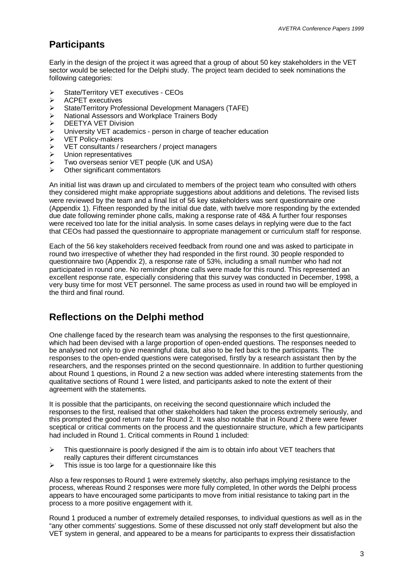# **Participants**

Early in the design of the project it was agreed that a group of about 50 key stakeholders in the VET sector would be selected for the Delphi study. The project team decided to seek nominations the following categories:

- **▶ State/Territory VET executives CEOs**
- $\triangleright$  ACPET executives
- ÿ State/Territory Professional Development Managers (TAFE)
- ÿ National Assessors and Workplace Trainers Body
- > DEETYA VET Division
- $\triangleright$  University VET academics person in charge of teacher education
- **▶ VET Policy-makers**
- ÿ VET consultants / researchers / project managers
- $\triangleright$  Union representatives
- $\triangleright$  Two overseas senior VET people (UK and USA)
- $\triangleright$  Other significant commentators

An initial list was drawn up and circulated to members of the project team who consulted with others they considered might make appropriate suggestions about additions and deletions. The revised lists were reviewed by the team and a final list of 56 key stakeholders was sent questionnaire one (Appendix 1). Fifteen responded by the initial due date, with twelve more responding by the extended due date following reminder phone calls, making a response rate of 48& A further four responses were received too late for the initial analysis. In some cases delays in replying were due to the fact that CEOs had passed the questionnaire to appropriate management or curriculum staff for response.

Each of the 56 key stakeholders received feedback from round one and was asked to participate in round two irrespective of whether they had responded in the first round. 30 people responded to questionnaire two (Appendix 2), a response rate of 53%, including a small number who had not participated in round one. No reminder phone calls were made for this round. This represented an excellent response rate, especially considering that this survey was conducted in December, 1998, a very busy time for most VET personnel. The same process as used in round two will be employed in the third and final round.

# **Reflections on the Delphi method**

One challenge faced by the research team was analysing the responses to the first questionnaire, which had been devised with a large proportion of open-ended questions. The responses needed to be analysed not only to give meaningful data, but also to be fed back to the participants. The responses to the open-ended questions were categorised, firstly by a research assistant then by the researchers, and the responses printed on the second questionnaire. In addition to further questioning about Round 1 questions, in Round 2 a new section was added where interesting statements from the qualitative sections of Round 1 were listed, and participants asked to note the extent of their agreement with the statements.

It is possible that the participants, on receiving the second questionnaire which included the responses to the first, realised that other stakeholders had taken the process extremely seriously, and this prompted the good return rate for Round 2. It was also notable that in Round 2 there were fewer sceptical or critical comments on the process and the questionnaire structure, which a few participants had included in Round 1. Critical comments in Round 1 included:

- $\triangleright$  This questionnaire is poorly designed if the aim is to obtain info about VET teachers that really captures their different circumstances
- $\triangleright$  This issue is too large for a questionnaire like this

Also a few responses to Round 1 were extremely sketchy, also perhaps implying resistance to the process, whereas Round 2 responses were more fully completed, In other words the Delphi process appears to have encouraged some participants to move from initial resistance to taking part in the process to a more positive engagement with it.

Round 1 produced a number of extremely detailed responses, to individual questions as well as in the "any other comments' suggestions. Some of these discussed not only staff development but also the VET system in general, and appeared to be a means for participants to express their dissatisfaction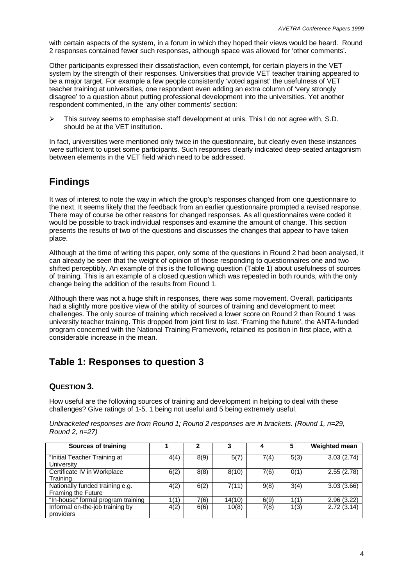with certain aspects of the system, in a forum in which they hoped their views would be heard. Round 2 responses contained fewer such responses, although space was allowed for 'other comments'.

Other participants expressed their dissatisfaction, even contempt, for certain players in the VET system by the strength of their responses. Universities that provide VET teacher training appeared to be a major target. For example a few people consistently 'voted against' the usefulness of VET teacher training at universities, one respondent even adding an extra column of 'very strongly disagree' to a question about putting professional development into the universities. Yet another respondent commented, in the 'any other comments' section:

 $\triangleright$  This survey seems to emphasise staff development at unis. This I do not agree with, S.D. should be at the VET institution.

In fact, universities were mentioned only twice in the questionnaire, but clearly even these instances were sufficient to upset some participants. Such responses clearly indicated deep-seated antagonism between elements in the VET field which need to be addressed.

# **Findings**

It was of interest to note the way in which the group's responses changed from one questionnaire to the next. It seems likely that the feedback from an earlier questionnaire prompted a revised response. There may of course be other reasons for changed responses. As all questionnaires were coded it would be possible to track individual responses and examine the amount of change. This section presents the results of two of the questions and discusses the changes that appear to have taken place.

Although at the time of writing this paper, only some of the questions in Round 2 had been analysed, it can already be seen that the weight of opinion of those responding to questionnaires one and two shifted perceptibly. An example of this is the following question (Table 1) about usefulness of sources of training. This is an example of a closed question which was repeated in both rounds, with the only change being the addition of the results from Round 1.

Although there was not a huge shift in responses, there was some movement. Overall, participants had a slightly more positive view of the ability of sources of training and development to meet challenges. The only source of training which received a lower score on Round 2 than Round 1 was university teacher training. This dropped from joint first to last. 'Framing the future', the ANTA-funded program concerned with the National Training Framework, retained its position in first place, with a considerable increase in the mean.

# **Table 1: Responses to question 3**

## **QUESTION 3.**

How useful are the following sources of training and development in helping to deal with these challenges? Give ratings of 1-5, 1 being not useful and 5 being extremely useful.

*Unbracketed responses are from Round 1; Round 2 responses are in brackets. (Round 1, n=29, Round 2, n=27)*

| <b>Sources of training</b>                                   |      | 2    |        |      | 5    | <b>Weighted mean</b> |
|--------------------------------------------------------------|------|------|--------|------|------|----------------------|
| "Initial Teacher Training at<br>University                   | 4(4) | 8(9) | 5(7)   | 7(4) | 5(3) | 3.03(2.74)           |
| Certificate IV in Workplace<br>Training                      | 6(2) | 8(8) | 8(10)  | 7(6) | 0(1) | 2.55(2.78)           |
| Nationally funded training e.g.<br><b>Framing the Future</b> | 4(2) | 6(2) | 7(11)  | 9(8) | 3(4) | 3.03(3.66)           |
| "In-house" formal program training                           | 1(1) | 7(6) | 14(10) | 6(9) | 1(1) | 2.96(3.22)           |
| Informal on-the-job training by<br>providers                 | 4(2) | 6(6) | 10(8)  | 7(8) | 1(3) | 2.72(3.14)           |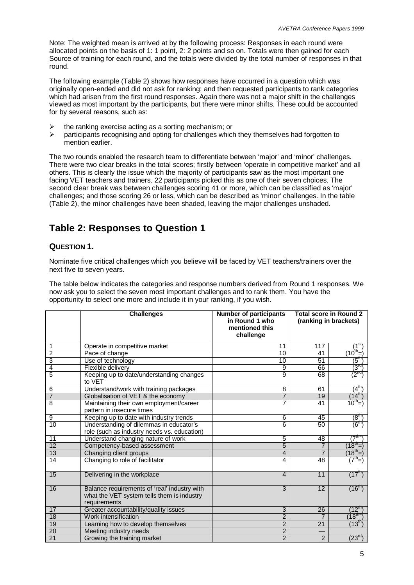Note: The weighted mean is arrived at by the following process: Responses in each round were allocated points on the basis of 1: 1 point, 2: 2 points and so on. Totals were then gained for each Source of training for each round, and the totals were divided by the total number of responses in that round.

The following example (Table 2) shows how responses have occurred in a question which was originally open-ended and did not ask for ranking; and then requested participants to rank categories which had arisen from the first round responses. Again there was not a major shift in the challenges viewed as most important by the participants, but there were minor shifts. These could be accounted for by several reasons, such as:

- the ranking exercise acting as a sorting mechanism; or
- $\geq$  participants recognising and opting for challenges which they themselves had forgotten to mention earlier.

The two rounds enabled the research team to differentiate between 'major' and 'minor' challenges. There were two clear breaks in the total scores; firstly between 'operate in competitive market' and all others. This is clearly the issue which the majority of participants saw as the most important one facing VET teachers and trainers. 22 participants picked this as one of their seven choices. The second clear break was between challenges scoring 41 or more, which can be classified as 'major' challenges; and those scoring 26 or less, which can be described as 'minor' challenges. In the table (Table 2), the minor challenges have been shaded, leaving the major challenges unshaded.

# **Table 2: Responses to Question 1**

## **QUESTION 1.**

Nominate five critical challenges which you believe will be faced by VET teachers/trainers over the next five to seven years.

The table below indicates the categories and response numbers derived from Round 1 responses. We now ask you to select the seven most important challenges and to rank them. You have the opportunity to select one more and include it in your ranking, if you wish.

|                 | <b>Challenges</b>                                                                                          | <b>Number of participants</b><br>in Round 1 who<br>mentioned this<br>challenge | <b>Total score in Round 2</b><br>(ranking in brackets) |                             |
|-----------------|------------------------------------------------------------------------------------------------------------|--------------------------------------------------------------------------------|--------------------------------------------------------|-----------------------------|
| 1               | Operate in competitive market                                                                              | 11                                                                             | 117                                                    | $1^\mathsf{st}$             |
| $\overline{2}$  | Pace of change                                                                                             | 10                                                                             | 41                                                     | $(10^{\text{th}} - )$       |
| 3               | Use of technology                                                                                          | 10                                                                             | 51                                                     | $(5^{\text{th}})$           |
| 4               | Flexible delivery                                                                                          | 9                                                                              | 66                                                     | $\overline{(3^{rd})}$       |
| 5               | Keeping up to date/understanding changes<br>to VET                                                         | 9                                                                              | 68                                                     | (2 <sup>nd</sup> )          |
| 6               | Understand/work with training packages                                                                     | 8                                                                              | 61                                                     | $(4^{\text{th}})$           |
| $\overline{7}$  | Globalisation of VET & the economy                                                                         | $\overline{7}$                                                                 | 19                                                     | $(14^{th})$                 |
| 8               | Maintaining their own employment/career<br>pattern in insecure times                                       | 7                                                                              | 41                                                     | $10^{th}$ =)                |
| 9               | Keeping up to date with industry trends                                                                    | 6                                                                              | 45                                                     | (8 <sup>th</sup> )          |
| 10              | Understanding of dilemmas in educator's<br>role (such as industry needs vs. education)                     | 6                                                                              | 50                                                     | $\mathcal{F}^{\mathsf{th}}$ |
| 11              | Understand changing nature of work                                                                         | 5                                                                              | 48                                                     | $(7^{\text{th}}$            |
| 12              | Competency-based assessment                                                                                | 5                                                                              | $\overline{7}$                                         | $(18^{\text{th}}=)$         |
| 13              | Changing client groups                                                                                     | 4                                                                              |                                                        | $(18^{th})$                 |
| $\overline{14}$ | Changing to role of facilitator                                                                            | 4                                                                              | 48                                                     | $(7^{\text{th}}=)$          |
| 15              | Delivering in the workplace                                                                                | $\overline{4}$                                                                 | 11                                                     | $(17^{th})$                 |
| 16              | Balance requirements of 'real' industry with<br>what the VET system tells them is industry<br>requirements | 3                                                                              | 12                                                     | $(16^{th})$                 |
| 17              | Greater accountability/quality issues                                                                      | 3                                                                              | 26                                                     | $(12^{\sf th})$             |
| $\overline{18}$ | Work intensification                                                                                       | $\overline{2}$                                                                 |                                                        | $(18^{th}$                  |
| 19              | Learning how to develop themselves                                                                         | $\overline{2}$                                                                 | 21                                                     | $(13^{\text{th}})$          |
| 20              | Meeting industry needs                                                                                     | $\overline{2}$                                                                 |                                                        |                             |
| $\overline{21}$ | Growing the training market                                                                                | $\overline{2}$                                                                 | $\overline{2}$                                         | $(23^{rd})$                 |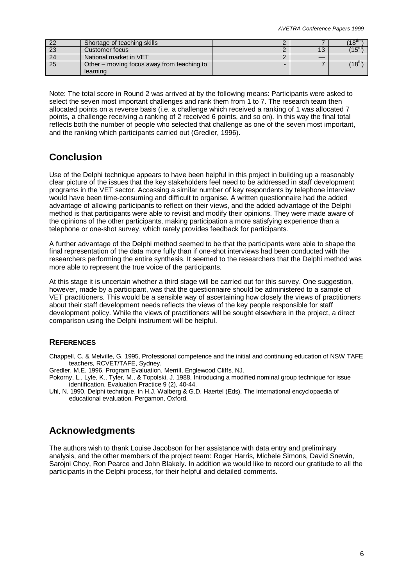| ററ | Shortage of teaching skills                |    | $18^{\text{th}}$  |
|----|--------------------------------------------|----|-------------------|
| 23 | Customer focus                             | 13 | $15^{\text{m}}$ ) |
| 24 | National market in VET                     |    |                   |
| 25 | Other – moving focus away from teaching to |    | $(18^{\circ}$     |
|    | learning                                   |    |                   |

Note: The total score in Round 2 was arrived at by the following means: Participants were asked to select the seven most important challenges and rank them from 1 to 7. The research team then allocated points on a reverse basis (i.e. a challenge which received a ranking of 1 was allocated 7 points, a challenge receiving a ranking of 2 received 6 points, and so on). In this way the final total reflects both the number of people who selected that challenge as one of the seven most important, and the ranking which participants carried out (Gredler, 1996).

# **Conclusion**

Use of the Delphi technique appears to have been helpful in this project in building up a reasonably clear picture of the issues that the key stakeholders feel need to be addressed in staff development programs in the VET sector. Accessing a similar number of key respondents by telephone interview would have been time-consuming and difficult to organise. A written questionnaire had the added advantage of allowing participants to reflect on their views, and the added advantage of the Delphi method is that participants were able to revisit and modify their opinions. They were made aware of the opinions of the other participants, making participation a more satisfying experience than a telephone or one-shot survey, which rarely provides feedback for participants.

A further advantage of the Delphi method seemed to be that the participants were able to shape the final representation of the data more fully than if one-shot interviews had been conducted with the researchers performing the entire synthesis. It seemed to the researchers that the Delphi method was more able to represent the true voice of the participants.

At this stage it is uncertain whether a third stage will be carried out for this survey. One suggestion, however, made by a participant, was that the questionnaire should be administered to a sample of VET practitioners. This would be a sensible way of ascertaining how closely the views of practitioners about their staff development needs reflects the views of the key people responsible for staff development policy. While the views of practitioners will be sought elsewhere in the project, a direct comparison using the Delphi instrument will be helpful.

## **REFERENCES**

Chappell, C. & Melville, G. 1995, Professional competence and the initial and continuing education of NSW TAFE teachers, RCVET/TAFE, Sydney.

Gredler, M.E. 1996, Program Evaluation. Merrill, Englewood Cliffs, NJ.

Pokorny, L., Lyle, K., Tyler, M., & Topolski, J. 1988, Introducing a modified nominal group technique for issue identification. Evaluation Practice 9 (2), 40-44.

Uhl, N. 1990, Delphi technique. In H.J. Walberg & G.D. Haertel (Eds), The international encyclopaedia of educational evaluation, Pergamon, Oxford.

# **Acknowledgments**

The authors wish to thank Louise Jacobson for her assistance with data entry and preliminary analysis, and the other members of the project team: Roger Harris, Michele Simons, David Snewin, Sarojni Choy, Ron Pearce and John Blakely. In addition we would like to record our gratitude to all the participants in the Delphi process, for their helpful and detailed comments.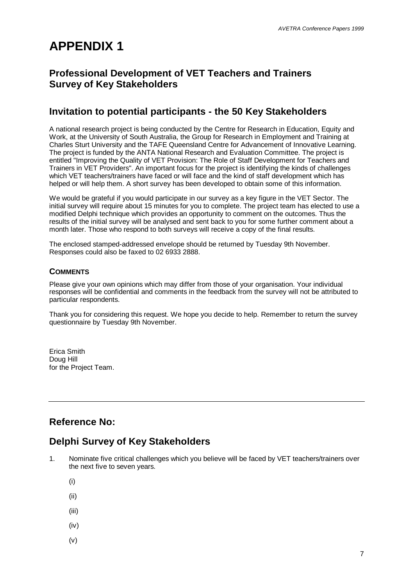# **APPENDIX 1**

# **Professional Development of VET Teachers and Trainers Survey of Key Stakeholders**

# **Invitation to potential participants - the 50 Key Stakeholders**

A national research project is being conducted by the Centre for Research in Education, Equity and Work, at the University of South Australia, the Group for Research in Employment and Training at Charles Sturt University and the TAFE Queensland Centre for Advancement of Innovative Learning. The project is funded by the ANTA National Research and Evaluation Committee. The project is entitled "Improving the Quality of VET Provision: The Role of Staff Development for Teachers and Trainers in VET Providers". An important focus for the project is identifying the kinds of challenges which VET teachers/trainers have faced or will face and the kind of staff development which has helped or will help them. A short survey has been developed to obtain some of this information.

We would be grateful if you would participate in our survey as a key figure in the VET Sector. The initial survey will require about 15 minutes for you to complete. The project team has elected to use a modified Delphi technique which provides an opportunity to comment on the outcomes. Thus the results of the initial survey will be analysed and sent back to you for some further comment about a month later. Those who respond to both surveys will receive a copy of the final results.

The enclosed stamped-addressed envelope should be returned by Tuesday 9th November. Responses could also be faxed to 02 6933 2888.

## **COMMENTS**

Please give your own opinions which may differ from those of your organisation. Your individual responses will be confidential and comments in the feedback from the survey will not be attributed to particular respondents.

Thank you for considering this request. We hope you decide to help. Remember to return the survey questionnaire by Tuesday 9th November.

Erica Smith Doug Hill for the Project Team.

# **Reference No:**

# **Delphi Survey of Key Stakeholders**

- 1. Nominate five critical challenges which you believe will be faced by VET teachers/trainers over the next five to seven years.
	- (i)
	- (ii)
	- (iii)
	- (iv)
	- (v)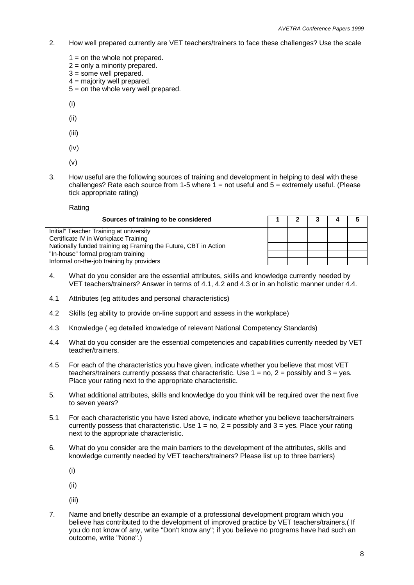- 2. How well prepared currently are VET teachers/trainers to face these challenges? Use the scale
	- $1 =$  on the whole not prepared.
	- $2 =$  only a minority prepared.
	- $3 =$  some well prepared.
	- $4 =$  majority well prepared.
	- $5 =$  on the whole very well prepared.
	- (i)
	- (ii)
	- (iii)
	- (iv)
	- (v)
- 3. How useful are the following sources of training and development in helping to deal with these challenges? Rate each source from 1-5 where  $1 = not$  useful and  $5 =$  extremely useful. (Please tick appropriate rating)

Rating

| Sources of training to be considered                            |  |  |  |
|-----------------------------------------------------------------|--|--|--|
| Initial" Teacher Training at university                         |  |  |  |
| Certificate IV in Workplace Training                            |  |  |  |
| Nationally funded training eg Framing the Future, CBT in Action |  |  |  |
| "In-house" formal program training                              |  |  |  |
| Informal on-the-job training by providers                       |  |  |  |

- 4. What do you consider are the essential attributes, skills and knowledge currently needed by VET teachers/trainers? Answer in terms of 4.1, 4.2 and 4.3 or in an holistic manner under 4.4.
- 4.1 Attributes (eg attitudes and personal characteristics)
- 4.2 Skills (eg ability to provide on-line support and assess in the workplace)
- 4.3 Knowledge ( eg detailed knowledge of relevant National Competency Standards)
- 4.4 What do you consider are the essential competencies and capabilities currently needed by VET teacher/trainers.
- 4.5 For each of the characteristics you have given, indicate whether you believe that most VET teachers/trainers currently possess that characteristic. Use  $1 = no$ ,  $2 =$  possibly and  $3 =$  yes. Place your rating next to the appropriate characteristic.
- 5. What additional attributes, skills and knowledge do you think will be required over the next five to seven years?
- 5.1 For each characteristic you have listed above, indicate whether you believe teachers/trainers currently possess that characteristic. Use  $1 = no$ ,  $2 =$  possibly and  $3 =$  yes. Place your rating next to the appropriate characteristic.
- 6. What do you consider are the main barriers to the development of the attributes, skills and knowledge currently needed by VET teachers/trainers? Please list up to three barriers)
	- (i)
	- (ii)
	- (iii)
- 7. Name and briefly describe an example of a professional development program which you believe has contributed to the development of improved practice by VET teachers/trainers.( If you do not know of any, write "Don't know any"; if you believe no programs have had such an outcome, write "None".)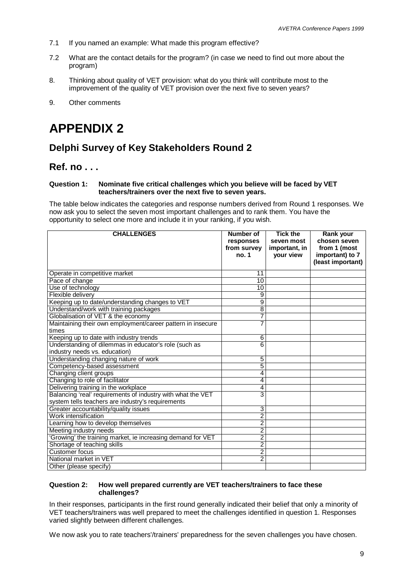- 7.1 If you named an example: What made this program effective?
- 7.2 What are the contact details for the program? (in case we need to find out more about the program)
- 8. Thinking about quality of VET provision: what do you think will contribute most to the improvement of the quality of VET provision over the next five to seven years?
- 9. Other comments

# **APPENDIX 2**

# **Delphi Survey of Key Stakeholders Round 2**

## **Ref. no . . .**

#### **Question 1: Nominate five critical challenges which you believe will be faced by VET teachers/trainers over the next five to seven years.**

The table below indicates the categories and response numbers derived from Round 1 responses. We now ask you to select the seven most important challenges and to rank them. You have the opportunity to select one more and include it in your ranking, if you wish.

| <b>CHALLENGES</b>                                                                                                | Number of<br>responses<br>from survey<br>no. 1 | <b>Tick the</b><br>seven most<br>important, in<br>your view | Rank your<br>chosen seven<br>from 1 (most<br>important) to 7<br>(least important) |
|------------------------------------------------------------------------------------------------------------------|------------------------------------------------|-------------------------------------------------------------|-----------------------------------------------------------------------------------|
| Operate in competitive market                                                                                    | 11                                             |                                                             |                                                                                   |
| Pace of change                                                                                                   | 10                                             |                                                             |                                                                                   |
| Use of technology                                                                                                | 10                                             |                                                             |                                                                                   |
| Flexible delivery                                                                                                | 9                                              |                                                             |                                                                                   |
| Keeping up to date/understanding changes to VET                                                                  | 9                                              |                                                             |                                                                                   |
| Understand/work with training packages                                                                           | $\overline{8}$                                 |                                                             |                                                                                   |
| Globalisation of VET & the economy                                                                               | 7                                              |                                                             |                                                                                   |
| Maintaining their own employment/career pattern in insecure<br>times                                             | 7                                              |                                                             |                                                                                   |
| Keeping up to date with industry trends                                                                          | 6                                              |                                                             |                                                                                   |
| Understanding of dilemmas in educator's role (such as<br>industry needs vs. education)                           | $\overline{6}$                                 |                                                             |                                                                                   |
| Understanding changing nature of work                                                                            | 5                                              |                                                             |                                                                                   |
| Competency-based assessment                                                                                      | 5                                              |                                                             |                                                                                   |
| Changing client groups                                                                                           | 4                                              |                                                             |                                                                                   |
| Changing to role of facilitator                                                                                  | 4                                              |                                                             |                                                                                   |
| Delivering training in the workplace                                                                             | $\overline{4}$                                 |                                                             |                                                                                   |
| Balancing 'real' requirements of industry with what the VET<br>system tells teachers are industry's requirements | $\overline{3}$                                 |                                                             |                                                                                   |
| Greater accountability/quality issues                                                                            | 3                                              |                                                             |                                                                                   |
| Work intensification                                                                                             | $\overline{2}$                                 |                                                             |                                                                                   |
| Learning how to develop themselves                                                                               | $\overline{2}$                                 |                                                             |                                                                                   |
| Meeting industry needs                                                                                           | $\overline{2}$                                 |                                                             |                                                                                   |
| 'Growing' the training market, ie increasing demand for VET                                                      | $\overline{2}$                                 |                                                             |                                                                                   |
| Shortage of teaching skills                                                                                      | $\overline{2}$                                 |                                                             |                                                                                   |
| Customer focus                                                                                                   | $\overline{2}$                                 |                                                             |                                                                                   |
| National market in VET                                                                                           | $\overline{2}$                                 |                                                             |                                                                                   |
| Other (please specify)                                                                                           |                                                |                                                             |                                                                                   |

#### **Question 2: How well prepared currently are VET teachers/trainers to face these challenges?**

In their responses, participants in the first round generally indicated their belief that only a minority of VET teachers/trainers was well prepared to meet the challenges identified in question 1. Responses varied slightly between different challenges.

We now ask you to rate teachers'/trainers' preparedness for the seven challenges you have chosen.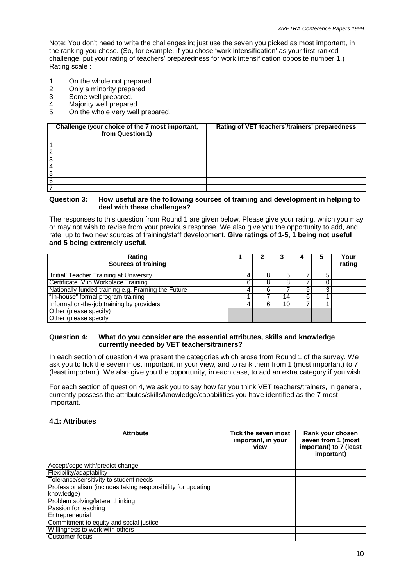Note: You don't need to write the challenges in; just use the seven you picked as most important, in the ranking you chose. (So, for example, if you chose 'work intensification' as your first-ranked challenge, put your rating of teachers' preparedness for work intensification opposite number 1.) Rating scale :

- 1 On the whole not prepared.<br>2 Only a minority prepared.
- 2 Only a minority prepared.<br>3 Some well prepared.
- 3 Some well prepared.<br>4 Majority well prepared
- 4 Majority well prepared.<br>5 On the whole very well
- On the whole very well prepared.

| Challenge (your choice of the 7 most important,<br>from Question 1) | Rating of VET teachers'/trainers' preparedness |
|---------------------------------------------------------------------|------------------------------------------------|
|                                                                     |                                                |
|                                                                     |                                                |
|                                                                     |                                                |
|                                                                     |                                                |
| 5                                                                   |                                                |
| 6                                                                   |                                                |
|                                                                     |                                                |

#### **Question 3: How useful are the following sources of training and development in helping to deal with these challenges?**

The responses to this question from Round 1 are given below. Please give your rating, which you may or may not wish to revise from your previous response. We also give you the opportunity to add, and rate, up to two new sources of training/staff development. **Give ratings of 1-5, 1 being not useful and 5 being extremely useful.**

| Rating<br>Sources of training                      |   |                 | 5 | Your<br>rating |
|----------------------------------------------------|---|-----------------|---|----------------|
| 'Initial' Teacher Training at University           | 8 | 5               | 5 |                |
| Certificate IV in Workplace Training               |   | 8               |   |                |
| Nationally funded training e.g. Framing the Future | 6 |                 | 3 |                |
| "In-house" formal program training                 |   | 14 <sub>1</sub> |   |                |
| Informal on-the-job training by providers          | 6 | 10              |   |                |
| Other (please specify)                             |   |                 |   |                |
| Other (please specify                              |   |                 |   |                |

#### **Question 4: What do you consider are the essential attributes, skills and knowledge currently needed by VET teachers/trainers?**

In each section of question 4 we present the categories which arose from Round 1 of the survey. We ask you to tick the seven most important, in your view, and to rank them from 1 (most important) to 7 (least important). We also give you the opportunity, in each case, to add an extra category if you wish.

For each section of question 4, we ask you to say how far you think VET teachers/trainers, in general, currently possess the attributes/skills/knowledge/capabilities you have identified as the 7 most important.

#### **4.1: Attributes**

| <b>Attribute</b>                                                           | Tick the seven most<br>important, in your<br>view | Rank your chosen<br>seven from 1 (most<br>important) to 7 (least<br>important) |
|----------------------------------------------------------------------------|---------------------------------------------------|--------------------------------------------------------------------------------|
| Accept/cope with/predict change                                            |                                                   |                                                                                |
| Flexibility/adaptability                                                   |                                                   |                                                                                |
| Tolerance/sensitivity to student needs                                     |                                                   |                                                                                |
| Professionalism (includes taking responsibility for updating<br>knowledge) |                                                   |                                                                                |
| Problem solving/lateral thinking                                           |                                                   |                                                                                |
| Passion for teaching                                                       |                                                   |                                                                                |
| Entrepreneurial                                                            |                                                   |                                                                                |
| Commitment to equity and social justice                                    |                                                   |                                                                                |
| Willingness to work with others                                            |                                                   |                                                                                |
| Customer focus                                                             |                                                   |                                                                                |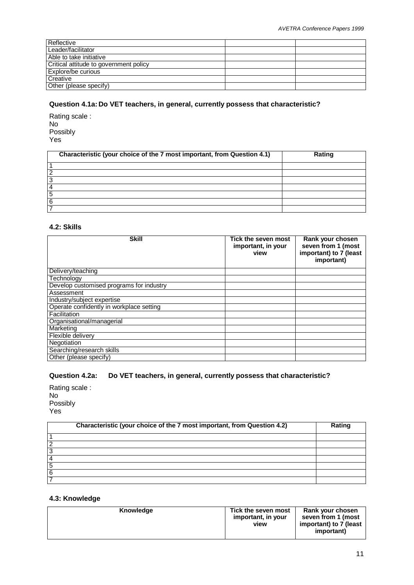| Reflective                             |  |
|----------------------------------------|--|
| Leader/facilitator                     |  |
| Able to take initiative                |  |
| Critical attitude to government policy |  |
| Explore/be curious                     |  |
| Creative                               |  |
| Other (please specify)                 |  |

## **Question 4.1a: Do VET teachers, in general, currently possess that characteristic?**

Rating scale : No Possibly Yes

|   | Characteristic (your choice of the 7 most important, from Question 4.1) | Rating |
|---|-------------------------------------------------------------------------|--------|
|   |                                                                         |        |
| 2 |                                                                         |        |
| 3 |                                                                         |        |
| 4 |                                                                         |        |
| 5 |                                                                         |        |
| 6 |                                                                         |        |
|   |                                                                         |        |

## **4.2: Skills**

| <b>Skill</b>                             | Tick the seven most<br>important, in your<br>view | Rank your chosen<br>seven from 1 (most<br>important) to 7 (least<br>important) |
|------------------------------------------|---------------------------------------------------|--------------------------------------------------------------------------------|
| Delivery/teaching                        |                                                   |                                                                                |
| Technology                               |                                                   |                                                                                |
| Develop customised programs for industry |                                                   |                                                                                |
| Assessment                               |                                                   |                                                                                |
| Industry/subject expertise               |                                                   |                                                                                |
| Operate confidently in workplace setting |                                                   |                                                                                |
| Facilitation                             |                                                   |                                                                                |
| Organisational/managerial                |                                                   |                                                                                |
| Marketing                                |                                                   |                                                                                |
| Flexible delivery                        |                                                   |                                                                                |
| Negotiation                              |                                                   |                                                                                |
| Searching/research skills                |                                                   |                                                                                |
| Other (please specify)                   |                                                   |                                                                                |

## **Question 4.2a: Do VET teachers, in general, currently possess that characteristic?**

Rating scale : No Possibly Yes

| Characteristic (your choice of the 7 most important, from Question 4.2) | Rating |
|-------------------------------------------------------------------------|--------|
|                                                                         |        |
|                                                                         |        |
| ◠                                                                       |        |
|                                                                         |        |
|                                                                         |        |
| 6                                                                       |        |
|                                                                         |        |

## **4.3: Knowledge**

| Knowledge | Tick the seven most<br>important, in your<br>view | Rank your chosen<br>seven from 1 (most<br>important) to 7 (least<br>important) |
|-----------|---------------------------------------------------|--------------------------------------------------------------------------------|
|-----------|---------------------------------------------------|--------------------------------------------------------------------------------|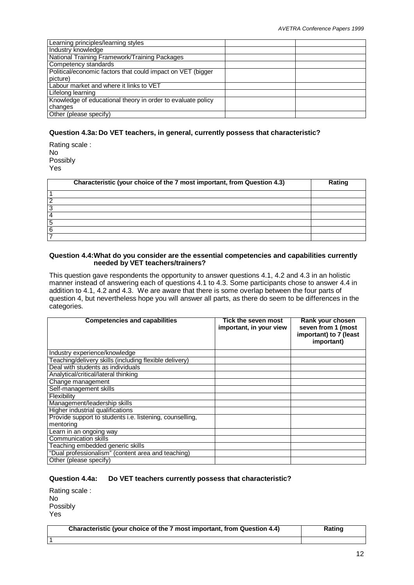| Learning principles/learning styles                         |  |
|-------------------------------------------------------------|--|
| Industry knowledge                                          |  |
| National Training Framework/Training Packages               |  |
| Competency standards                                        |  |
| Political/economic factors that could impact on VET (bigger |  |
| picture)                                                    |  |
| Labour market and where it links to VET                     |  |
| Lifelong learning                                           |  |
| Knowledge of educational theory in order to evaluate policy |  |
| changes                                                     |  |
| Other (please specify)                                      |  |

## **Question 4.3a: Do VET teachers, in general, currently possess that characteristic?**

Rating scale : No Possibly Yes

|   | Characteristic (your choice of the 7 most important, from Question 4.3) | Rating |
|---|-------------------------------------------------------------------------|--------|
|   |                                                                         |        |
|   |                                                                         |        |
|   |                                                                         |        |
|   |                                                                         |        |
| 5 |                                                                         |        |
| 6 |                                                                         |        |
|   |                                                                         |        |

## **Question 4.4:What do you consider are the essential competencies and capabilities currently needed by VET teachers/trainers?**

This question gave respondents the opportunity to answer questions 4.1, 4.2 and 4.3 in an holistic manner instead of answering each of questions 4.1 to 4.3. Some participants chose to answer 4.4 in addition to 4.1, 4.2 and 4.3. We are aware that there is some overlap between the four parts of question 4, but nevertheless hope you will answer all parts, as there do seem to be differences in the categories.

| <b>Competencies and capabilities</b>                            | Tick the seven most<br>important, in your view | Rank your chosen<br>seven from 1 (most<br>important) to 7 (least<br>important) |
|-----------------------------------------------------------------|------------------------------------------------|--------------------------------------------------------------------------------|
| Industry experience/knowledge                                   |                                                |                                                                                |
| Teaching/delivery skills (including flexible delivery)          |                                                |                                                                                |
| Deal with students as individuals                               |                                                |                                                                                |
| Analytical/critical/lateral thinking                            |                                                |                                                                                |
| Change management                                               |                                                |                                                                                |
| Self-management skills                                          |                                                |                                                                                |
| Flexibility                                                     |                                                |                                                                                |
| Management/leadership skills                                    |                                                |                                                                                |
| <b>Higher industrial qualifications</b>                         |                                                |                                                                                |
| Provide support to students <i>i.e.</i> listening, counselling, |                                                |                                                                                |
| mentoring                                                       |                                                |                                                                                |
| Learn in an ongoing way                                         |                                                |                                                                                |
| Communication skills                                            |                                                |                                                                                |
| Teaching embedded generic skills                                |                                                |                                                                                |
| "Dual professionalism" (content area and teaching)              |                                                |                                                                                |
| Other (please specify)                                          |                                                |                                                                                |

## **Question 4.4a: Do VET teachers currently possess that characteristic?**

| Rating scale : |  |
|----------------|--|
| N٥             |  |
| Possibly       |  |
| Yes            |  |

1

|  | Characteristic (your choice of the 7 most important, from Question 4.4) | Rating |
|--|-------------------------------------------------------------------------|--------|
|--|-------------------------------------------------------------------------|--------|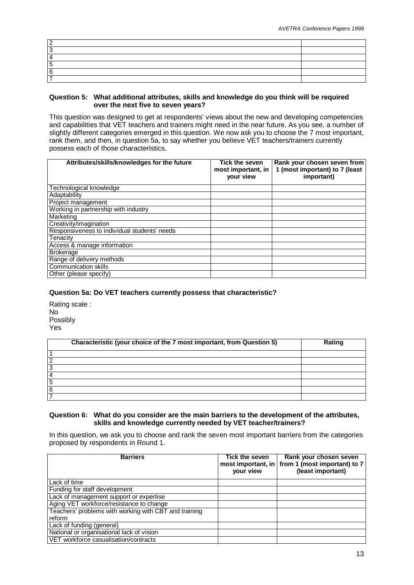#### **Question 5: What additional attributes, skills and knowledge do you think will be required over the next five to seven years?**

This question was designed to get at respondents' views about the new and developing competencies and capabilities that VET teachers and trainers might need in the near future. As you see, a number of slightly different categories emerged in this question. We now ask you to choose the 7 most important, rank them, and then, in question 5a, to say whether you believe VET teachers/trainers currently possess each of those characteristics.

| Attributes/skills/knowledges for the future  | Tick the seven<br>most important, in<br>your view | Rank your chosen seven from<br>1 (most important) to 7 (least<br>important) |
|----------------------------------------------|---------------------------------------------------|-----------------------------------------------------------------------------|
| Technological knowledge                      |                                                   |                                                                             |
| Adaptability                                 |                                                   |                                                                             |
| Project management                           |                                                   |                                                                             |
| Working in partnership with industry         |                                                   |                                                                             |
| Marketing                                    |                                                   |                                                                             |
| Creativity/imagination                       |                                                   |                                                                             |
| Responsiveness to individual students' needs |                                                   |                                                                             |
| Tenacity                                     |                                                   |                                                                             |
| Access & manage information                  |                                                   |                                                                             |
| <b>Brokerage</b>                             |                                                   |                                                                             |
| Range of delivery methods                    |                                                   |                                                                             |
| <b>Communication skills</b>                  |                                                   |                                                                             |
| Other (please specify)                       |                                                   |                                                                             |

## **Question 5a: Do VET teachers currently possess that characteristic?**

Rating scale : No Possibly Yes

|   | Characteristic (your choice of the 7 most important, from Question 5) | Rating |
|---|-----------------------------------------------------------------------|--------|
|   |                                                                       |        |
|   |                                                                       |        |
| 3 |                                                                       |        |
|   |                                                                       |        |
| 5 |                                                                       |        |
| 6 |                                                                       |        |
|   |                                                                       |        |

## **Question 6: What do you consider are the main barriers to the development of the attributes, skills and knowledge currently needed by VET teacher/trainers?**

In this question, we ask you to choose and rank the seven most important barriers from the categories proposed by respondents in Round 1.

| <b>Barriers</b>                                       | Tick the seven<br>most important, in<br>your view | Rank your chosen seven<br>from 1 (most important) to 7<br>(least important) |
|-------------------------------------------------------|---------------------------------------------------|-----------------------------------------------------------------------------|
| Lack of time                                          |                                                   |                                                                             |
| Funding for staff development                         |                                                   |                                                                             |
| Lack of management support or expertise               |                                                   |                                                                             |
| Aging VET workforce/resistance to change              |                                                   |                                                                             |
| Teachers' problems with working with CBT and training |                                                   |                                                                             |
| reform                                                |                                                   |                                                                             |
| Lack of funding (general)                             |                                                   |                                                                             |
| National or organisational lack of vision             |                                                   |                                                                             |
| VET workforce casualisation/contracts                 |                                                   |                                                                             |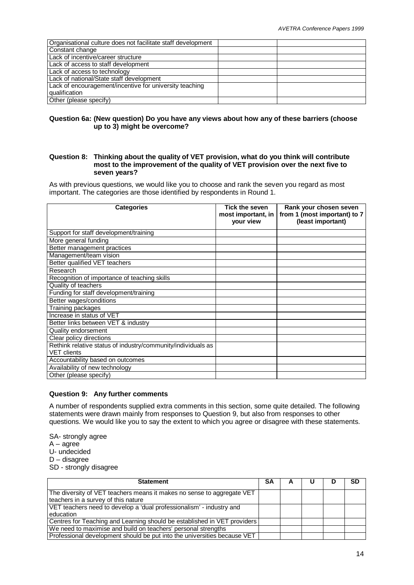| Organisational culture does not facilitate staff development |  |
|--------------------------------------------------------------|--|
| Constant change                                              |  |
| Lack of incentive/career structure                           |  |
| Lack of access to staff development                          |  |
| Lack of access to technology                                 |  |
| Lack of national/State staff development                     |  |
| Lack of encouragement/incentive for university teaching      |  |
| qualification                                                |  |
| Other (please specify)                                       |  |

### **Question 6a: (New question) Do you have any views about how any of these barriers (choose up to 3) might be overcome?**

### **Question 8: Thinking about the quality of VET provision, what do you think will contribute most to the improvement of the quality of VET provision over the next five to seven years?**

As with previous questions, we would like you to choose and rank the seven you regard as most important. The categories are those identified by respondents in Round 1.

| <b>Categories</b>                                            | <b>Tick the seven</b><br>most important, in<br>your view | Rank your chosen seven<br>from 1 (most important) to 7<br>(least important) |
|--------------------------------------------------------------|----------------------------------------------------------|-----------------------------------------------------------------------------|
| Support for staff development/training                       |                                                          |                                                                             |
| More general funding                                         |                                                          |                                                                             |
| Better management practices                                  |                                                          |                                                                             |
| Management/team vision                                       |                                                          |                                                                             |
| Better qualified VET teachers                                |                                                          |                                                                             |
| Research                                                     |                                                          |                                                                             |
| Recognition of importance of teaching skills                 |                                                          |                                                                             |
| Quality of teachers                                          |                                                          |                                                                             |
| Funding for staff development/training                       |                                                          |                                                                             |
| Better wages/conditions                                      |                                                          |                                                                             |
| Training packages                                            |                                                          |                                                                             |
| Increase in status of VET                                    |                                                          |                                                                             |
| Better links between VET & industry                          |                                                          |                                                                             |
| Quality endorsement                                          |                                                          |                                                                             |
| Clear policy directions                                      |                                                          |                                                                             |
| Rethink relative status of industry/community/individuals as |                                                          |                                                                             |
| <b>VET</b> clients                                           |                                                          |                                                                             |
| Accountability based on outcomes                             |                                                          |                                                                             |
| Availability of new technology                               |                                                          |                                                                             |
| Other (please specify)                                       |                                                          |                                                                             |

#### **Question 9: Any further comments**

A number of respondents supplied extra comments in this section, some quite detailed. The following statements were drawn mainly from responses to Question 9, but also from responses to other questions. We would like you to say the extent to which you agree or disagree with these statements.

SA- strongly agree

- $A agree$
- U- undecided
- D disagree
- SD strongly disagree

| <b>Statement</b>                                                                                              | SΑ | A |  | SD |
|---------------------------------------------------------------------------------------------------------------|----|---|--|----|
| The diversity of VET teachers means it makes no sense to aggregate VET<br>teachers in a survey of this nature |    |   |  |    |
| VET teachers need to develop a 'dual professionalism' - industry and<br>education                             |    |   |  |    |
| Centres for Teaching and Learning should be established in VET providers                                      |    |   |  |    |
| We need to maximise and build on teachers' personal strengths                                                 |    |   |  |    |
| Professional development should be put into the universities because VET                                      |    |   |  |    |